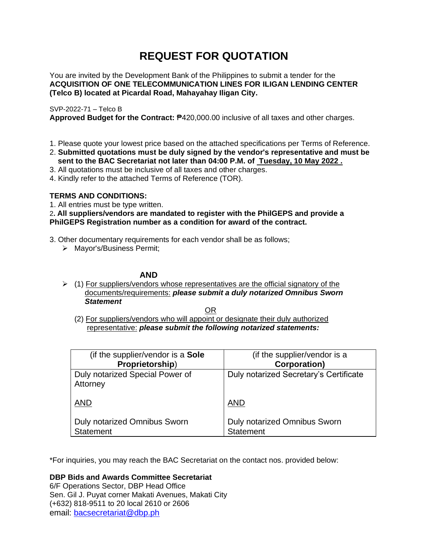# **REQUEST FOR QUOTATION**

You are invited by the Development Bank of the Philippines to submit a tender for the **ACQUISITION OF ONE TELECOMMUNICATION LINES FOR ILIGAN LENDING CENTER (Telco B) located at Picardal Road, Mahayahay Iligan City.**

## SVP-2022-71 – Telco B

**Approved Budget for the Contract:** ₱420,000.00 inclusive of all taxes and other charges.

- 1. Please quote your lowest price based on the attached specifications per Terms of Reference.
- 2. **Submitted quotations must be duly signed by the vendor's representative and must be sent to the BAC Secretariat not later than 04:00 P.M. of Tuesday, 10 May 2022 .**
- 3. All quotations must be inclusive of all taxes and other charges.
- 4. Kindly refer to the attached Terms of Reference (TOR).

## **TERMS AND CONDITIONS:**

1. All entries must be type written.

## 2**. All suppliers/vendors are mandated to register with the PhilGEPS and provide a PhilGEPS Registration number as a condition for award of the contract.**

- 3. Other documentary requirements for each vendor shall be as follows;
	- ➢ Mayor's/Business Permit;

## **AND**

 $\geq$  (1) For suppliers/vendors whose representatives are the official signatory of the documents/requirements: *please submit a duly notarized Omnibus Sworn Statement*

<u>OR Starting and the Starting OR Starting</u>

(2) For suppliers/vendors who will appoint or designate their duly authorized representative: *please submit the following notarized statements:*

| (if the supplier/vendor is a Sole                       | (if the supplier/vendor is a                     |
|---------------------------------------------------------|--------------------------------------------------|
| Proprietorship)                                         | <b>Corporation</b> )                             |
| Duly notarized Special Power of<br>Attorney             | Duly notarized Secretary's Certificate           |
| <b>AND</b>                                              | <b>AND</b>                                       |
| <b>Duly notarized Omnibus Sworn</b><br><b>Statement</b> | Duly notarized Omnibus Sworn<br><b>Statement</b> |

\*For inquiries, you may reach the BAC Secretariat on the contact nos. provided below:

**DBP Bids and Awards Committee Secretariat**  6/F Operations Sector, DBP Head Office

Sen. Gil J. Puyat corner Makati Avenues, Makati City (+632) 818-9511 to 20 local 2610 or 2606 email: [bacsecretariat@dbp.ph](mailto:bacsecretariat@dbp.ph)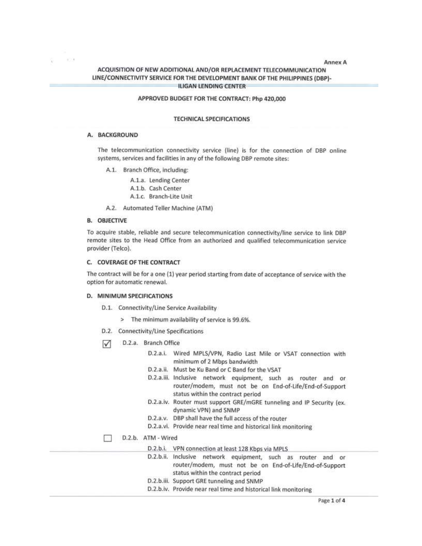**Annex A** 

## ACQUISITION OF NEW ADDITIONAL AND/OR REPLACEMENT TELECOMMUNICATION LINE/CONNECTIVITY SERVICE FOR THE DEVELOPMENT BANK OF THE PHILIPPINES (DBP)-**ILIGAN LENDING CENTER**

### APPROVED BUDGET FOR THE CONTRACT: Php 420,000

#### **TECHNICAL SPECIFICATIONS**

#### A. BACKGROUND

1000

The telecommunication connectivity service (line) is for the connection of DBP online systems, services and facilities in any of the following DBP remote sites:

A.1. Branch Office, including:

A.1.a. Lending Center A.1.b. Cash Center A.1.c. Branch-Lite Unit

A.2. Automated Teller Machine (ATM)

#### **B. OBJECTIVE**

To acquire stable, reliable and secure telecommunication connectivity/line service to link DBP remote sites to the Head Office from an authorized and qualified telecommunication service provider (Telco).

#### C. COVERAGE OF THE CONTRACT

The contract will be for a one (1) year period starting from date of acceptance of service with the option for automatic renewal.

### **D. MINIMUM SPECIFICATIONS**

- D.1. Connectivity/Line Service Availability
	- > The minimum availability of service is 99.6%.
- D.2. Connectivity/Line Specifications
- D.2.a. Branch Office  $\sqrt{}$ 
	- D.2.a.i. Wired MPLS/VPN, Radio Last Mile or VSAT connection with minimum of 2 Mbps bandwidth
	- D.2.a.ii. Must be Ku Band or C Band for the VSAT
	- D.2.a.iii. Inclusive network equipment, such as router and or router/modem, must not be on End-of-Life/End-of-Support status within the contract period
	- D.2.a.iv. Router must support GRE/mGRE tunneling and IP Security (ex. dynamic VPN) and SNMP
	- D.2.a.v. DBP shall have the full access of the router
	- D.2.a.vi. Provide near real time and historical link monitoring

#### D.2.b. ATM - Wired ‡3∃

- D.2.b.i. VPN connection at least 128 Kbps via MPLS
- D.2.b.ii. Inclusive network equipment, such as router and or router/modem, must not be on End-of-Life/End-of-Support status within the contract period
- D.2.b.iii. Support GRE tunneling and SNMP
- D.2.b.iv. Provide near real time and historical link monitoring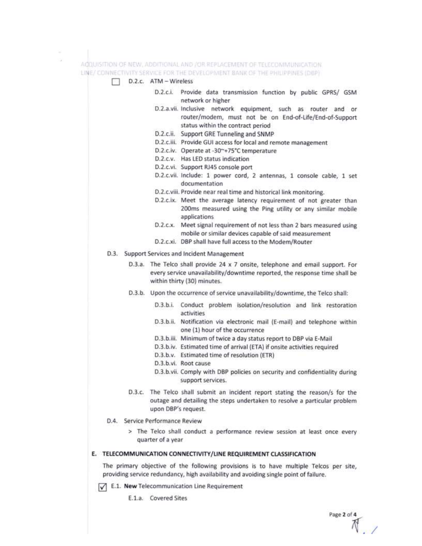

 $\sqrt{\phantom{a}}$  E.1. New Telecommunication Line Requirement

E.1.a. Covered Sites

Page 2 of 4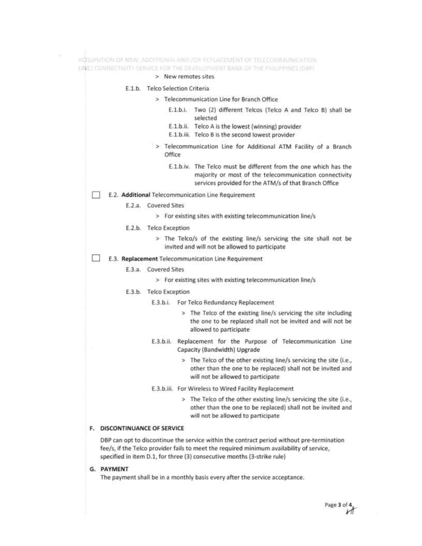|                      | > New remotes sites                                                                                                                                                                 |
|----------------------|-------------------------------------------------------------------------------------------------------------------------------------------------------------------------------------|
|                      | E.1.b. Telco Selection Criteria                                                                                                                                                     |
|                      | > Telecommunication Line for Branch Office                                                                                                                                          |
|                      | E.1.b.i. Two (2) different Telcos (Telco A and Telco B) shall be<br>selected                                                                                                        |
|                      | E.1.b.ii. Telco A is the lowest (winning) provider<br>E.1.b.iii. Telco B is the second lowest provider                                                                              |
|                      | > Telecommunication Line for Additional ATM Facility of a Branch<br>Office                                                                                                          |
|                      | E.1.b.iv. The Telco must be different from the one which has the<br>majority or most of the telecommunication connectivity<br>services provided for the ATM/s of that Branch Office |
|                      | E.2. Additional Telecommunication Line Requirement                                                                                                                                  |
| E.2.a. Covered Sites |                                                                                                                                                                                     |
|                      | > For existing sites with existing telecommunication line/s                                                                                                                         |
|                      | E.2.b. Telco Exception                                                                                                                                                              |
|                      | > The Telco/s of the existing line/s servicing the site shall not be<br>invited and will not be allowed to participate                                                              |
|                      | E.3. Replacement Telecommunication Line Requirement                                                                                                                                 |
| E.3.a.               | <b>Covered Sites</b>                                                                                                                                                                |
|                      | > For existing sites with existing telecommunication line/s                                                                                                                         |
|                      | E.3.b. Telco Exception                                                                                                                                                              |
|                      | E.3.b.i.<br>For Telco Redundancy Replacement                                                                                                                                        |
|                      | > The Telco of the existing line/s servicing the site including<br>the one to be replaced shall not be invited and will not be<br>allowed to participate                            |
|                      | Replacement for the Purpose of Telecommunication Line<br>E.3.b.ii.<br>Capacity (Bandwidth) Upgrade                                                                                  |
|                      | > The Telco of the other existing line/s servicing the site (i.e.,<br>other than the one to be replaced) shall not be invited and<br>will not be allowed to participate             |
|                      | E.3.b.iii. For Wireless to Wired Facility Replacement                                                                                                                               |
|                      | > The Telco of the other existing line/s servicing the site (i.e.,<br>other than the one to be replaced) shall not be invited and                                                   |

DBP can opt to discontinue the service within the contract period without pre-termination fee/s, if the Telco provider fails to meet the required minimum availability of service, specified in item D.1, for three (3) consecutive months (3-strike rule)

G. PAYMENT

 $\mathcal{C}^{\mathcal{C}}_{\mathcal{C}}$ 

The payment shall be in a monthly basis every after the service acceptance.